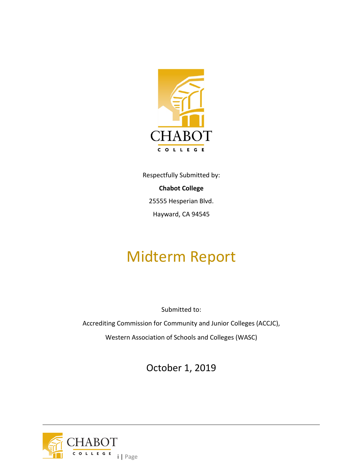

Respectfully Submitted by: **Chabot College** 25555 Hesperian Blvd. Hayward, CA 94545

# Midterm Report

Submitted to:

Accrediting Commission for Community and Junior Colleges (ACCJC),

Western Association of Schools and Colleges (WASC)

October 1, 2019

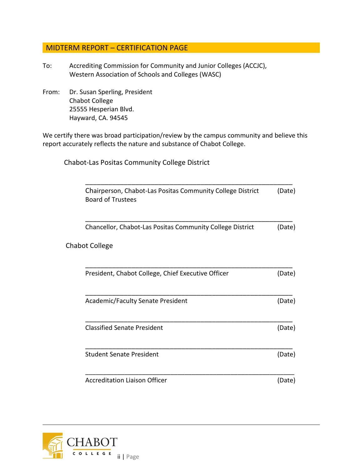## MIDTERM REPORT – CERTIFICATION PAGE

- To: Accrediting Commission for Community and Junior Colleges (ACCJC), Western Association of Schools and Colleges (WASC)
- From: Dr. Susan Sperling, President Chabot College 25555 Hesperian Blvd. Hayward, CA. 94545

We certify there was broad participation/review by the campus community and believe this report accurately reflects the nature and substance of Chabot College.

Chabot-Las Positas Community College District

| Chairperson, Chabot-Las Positas Community College District<br><b>Board of Trustees</b> | (Date) |
|----------------------------------------------------------------------------------------|--------|
| Chancellor, Chabot-Las Positas Community College District                              | (Date) |
| <b>Chabot College</b>                                                                  |        |
| President, Chabot College, Chief Executive Officer                                     | (Date) |
| Academic/Faculty Senate President                                                      | (Date) |
| <b>Classified Senate President</b>                                                     | (Date) |
| <b>Student Senate President</b>                                                        | (Date) |
| <b>Accreditation Liaison Officer</b>                                                   | (Date) |

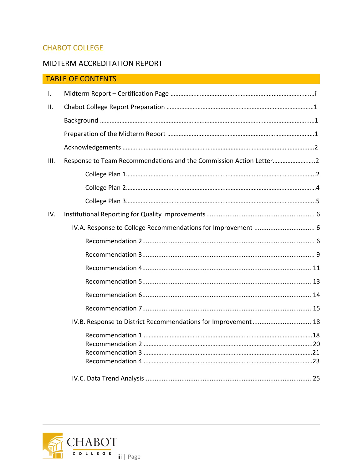## CHABOT COLLEGE

# MIDTERM ACCREDITATION REPORT

|                | <b>TABLE OF CONTENTS</b>                                           |  |
|----------------|--------------------------------------------------------------------|--|
| $\mathbf{I}$ . |                                                                    |  |
| II.            |                                                                    |  |
|                |                                                                    |  |
|                |                                                                    |  |
|                |                                                                    |  |
| III.           | Response to Team Recommendations and the Commission Action Letter2 |  |
|                |                                                                    |  |
|                |                                                                    |  |
|                |                                                                    |  |
| IV.            |                                                                    |  |
|                | IV.A. Response to College Recommendations for Improvement  6       |  |
|                |                                                                    |  |
|                |                                                                    |  |
|                |                                                                    |  |
|                |                                                                    |  |
|                |                                                                    |  |
|                |                                                                    |  |
|                | IV.B. Response to District Recommendations for Improvement 18      |  |
|                |                                                                    |  |
|                |                                                                    |  |
|                |                                                                    |  |
|                |                                                                    |  |
|                |                                                                    |  |

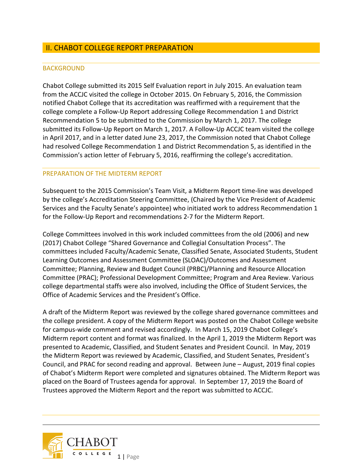## II. CHABOT COLLEGE REPORT PREPARATION

#### BACKGROUND

Chabot College submitted its 2015 Self Evaluation report in July 2015. An evaluation team from the ACCJC visited the college in October 2015. On February 5, 2016, the Commission notified Chabot College that its accreditation was reaffirmed with a requirement that the college complete a Follow-Up Report addressing College Recommendation 1 and District Recommendation 5 to be submitted to the Commission by March 1, 2017. The college submitted its Follow-Up Report on March 1, 2017. A Follow-Up ACCJC team visited the college in April 2017, and in a letter dated June 23, 2017, the Commission noted that Chabot College had resolved College Recommendation 1 and District Recommendation 5, as identified in the Commission's action letter of February 5, 2016, reaffirming the college's accreditation.

#### PREPARATION OF THE MIDTERM REPORT

Subsequent to the 2015 Commission's Team Visit, a Midterm Report time-line was developed by the college's Accreditation Steering Committee, (Chaired by the Vice President of Academic Services and the Faculty Senate's appointee) who initiated work to address Recommendation 1 for the Follow-Up Report and recommendations 2-7 for the Midterm Report.

College Committees involved in this work included committees from the old (2006) and new (2017) Chabot College "Shared Governance and Collegial Consultation Process". The committees included Faculty/Academic Senate, Classified Senate, Associated Students, Student Learning Outcomes and Assessment Committee (SLOAC)/Outcomes and Assessment Committee; Planning, Review and Budget Council (PRBC)/Planning and Resource Allocation Committee (PRAC); Professional Development Committee; Program and Area Review. Various college departmental staffs were also involved, including the Office of Student Services, the Office of Academic Services and the President's Office.

A draft of the Midterm Report was reviewed by the college shared governance committees and the college president. A copy of the Midterm Report was posted on the Chabot College website for campus-wide comment and revised accordingly. In March 15, 2019 Chabot College's Midterm report content and format was finalized. In the April 1, 2019 the Midterm Report was presented to Academic, Classified, and Student Senates and President Council. In May, 2019 the Midterm Report was reviewed by Academic, Classified, and Student Senates, President's Council, and PRAC for second reading and approval. Between June – August, 2019 final copies of Chabot's Midterm Report were completed and signatures obtained. The Midterm Report was placed on the Board of Trustees agenda for approval. In September 17, 2019 the Board of Trustees approved the Midterm Report and the report was submitted to ACCJC.

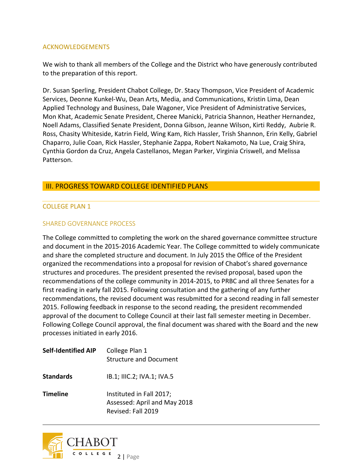#### ACKNOWLEDGEMENTS

We wish to thank all members of the College and the District who have generously contributed to the preparation of this report.

Dr. Susan Sperling, President Chabot College, Dr. Stacy Thompson, Vice President of Academic Services, Deonne Kunkel-Wu, Dean Arts, Media, and Communications, Kristin Lima, Dean Applied Technology and Business, Dale Wagoner, Vice President of Administrative Services, Mon Khat, Academic Senate President, Cheree Manicki, Patricia Shannon, Heather Hernandez, Noell Adams, Classified Senate President, Donna Gibson, Jeanne Wilson, Kirti Reddy, Aubrie R. Ross, Chasity Whiteside, Katrin Field, Wing Kam, Rich Hassler, Trish Shannon, Erin Kelly, Gabriel Chaparro, Julie Coan, Rick Hassler, Stephanie Zappa, Robert Nakamoto, Na Lue, Craig Shira, Cynthia Gordon da Cruz, Angela Castellanos, Megan Parker, Virginia Criswell, and Melissa Patterson.

#### III. PROGRESS TOWARD COLLEGE IDENTIFIED PLANS

#### COLLEGE PLAN 1

#### SHARED GOVERNANCE PROCESS

The College committed to completing the work on the shared governance committee structure and document in the 2015-2016 Academic Year. The College committed to widely communicate and share the completed structure and document. In July 2015 the Office of the President organized the recommendations into a proposal for revision of Chabot's shared governance structures and procedures. The president presented the revised proposal, based upon the recommendations of the college community in 2014-2015, to PRBC and all three Senates for a first reading in early fall 2015. Following consultation and the gathering of any further recommendations, the revised document was resubmitted for a second reading in fall semester 2015. Following feedback in response to the second reading, the president recommended approval of the document to College Council at their last fall semester meeting in December. Following College Council approval, the final document was shared with the Board and the new processes initiated in early 2016.

| <b>Self-Identified AIP</b> | College Plan 1<br><b>Structure and Document</b>                                |
|----------------------------|--------------------------------------------------------------------------------|
| <b>Standards</b>           | IB.1; IIIC.2; IVA.1; IVA.5                                                     |
| <b>Timeline</b>            | Instituted in Fall 2017;<br>Assessed: April and May 2018<br>Revised: Fall 2019 |

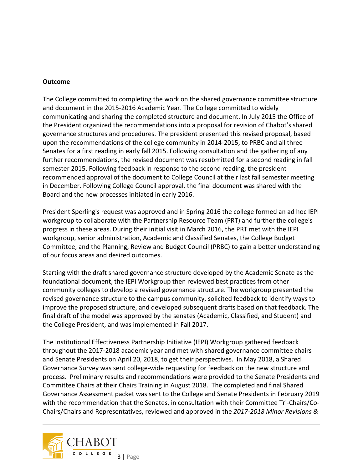#### **Outcome**

The College committed to completing the work on the shared governance committee structure and document in the 2015-2016 Academic Year. The College committed to widely communicating and sharing the completed structure and document. In July 2015 the Office of the President organized the recommendations into a proposal for revision of Chabot's shared governance structures and procedures. The president presented this revised proposal, based upon the recommendations of the college community in 2014-2015, to PRBC and all three Senates for a first reading in early fall 2015. Following consultation and the gathering of any further recommendations, the revised document was resubmitted for a second reading in fall semester 2015. Following feedback in response to the second reading, the president recommended approval of the document to College Council at their last fall semester meeting in December. Following College Council approval, the final document was shared with the Board and the new processes initiated in early 2016.

President Sperling's request was approved and in Spring 2016 the college formed an ad hoc IEPI workgroup to collaborate with the Partnership Resource Team (PRT) and further the college's progress in these areas. During their initial visit in March 2016, the PRT met with the IEPI workgroup, senior administration, Academic and Classified Senates, the College Budget Committee, and the Planning, Review and Budget Council (PRBC) to gain a better understanding of our focus areas and desired outcomes.

Starting with the draft shared governance structure developed by the Academic Senate as the foundational document, the IEPI Workgroup then reviewed best practices from other community colleges to develop a revised governance structure. The workgroup presented the revised governance structure to the campus community, solicited feedback to identify ways to improve the proposed structure, and developed subsequent drafts based on that feedback. The final draft of the model was approved by the senates (Academic, Classified, and Student) and the College President, and was implemented in Fall 2017.

The Institutional Effectiveness Partnership Initiative (IEPI) Workgroup gathered feedback throughout the 2017-2018 academic year and met with shared governance committee chairs and Senate Presidents on April 20, 2018, to get their perspectives. In May 2018, a Shared Governance Survey was sent college-wide requesting for feedback on the new structure and process. Preliminary results and recommendations were provided to the Senate Presidents and Committee Chairs at their Chairs Training in August 2018. The completed and final Shared Governance Assessment packet was sent to the College and Senate Presidents in February 2019 with the recommendation that the Senates, in consultation with their Committee Tri-Chairs/Co-Chairs/Chairs and Representatives, reviewed and approved in the *2017-2018 Minor Revisions &* 

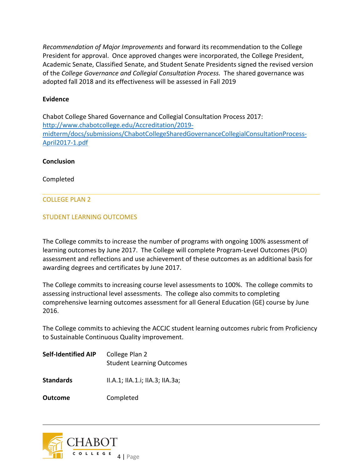*Recommendation of Major Improvements* and forward its recommendation to the College President for approval. Once approved changes were incorporated, the College President, Academic Senate, Classified Senate, and Student Senate Presidents signed the revised version of the *College Governance and Collegial Consultation Process.* The shared governance was adopted fall 2018 and its effectiveness will be assessed in Fall 2019

#### **Evidence**

Chabot College Shared Governance and Collegial Consultation Process 2017: [http://www.chabotcollege.edu/Accreditation/2019](http://www.chabotcollege.edu/Accreditation/2019-midterm/docs/submissions/ChabotCollegeSharedGovernanceCollegialConsultationProcess-April2017-1.pdf) [midterm/docs/submissions/ChabotCollegeSharedGovernanceCollegialConsultationProcess-](http://www.chabotcollege.edu/Accreditation/2019-midterm/docs/submissions/ChabotCollegeSharedGovernanceCollegialConsultationProcess-April2017-1.pdf)[April2017-1.pdf](http://www.chabotcollege.edu/Accreditation/2019-midterm/docs/submissions/ChabotCollegeSharedGovernanceCollegialConsultationProcess-April2017-1.pdf)

#### **Conclusion**

Completed

#### COLLEGE PLAN 2

#### STUDENT LEARNING OUTCOMES

The College commits to increase the number of programs with ongoing 100% assessment of learning outcomes by June 2017. The College will complete Program-Level Outcomes (PLO) assessment and reflections and use achievement of these outcomes as an additional basis for awarding degrees and certificates by June 2017.

The College commits to increasing course level assessments to 100%. The college commits to assessing instructional level assessments. The college also commits to completing comprehensive learning outcomes assessment for all General Education (GE) course by June 2016.

The College commits to achieving the ACCJC student learning outcomes rubric from Proficiency to Sustainable Continuous Quality improvement.

**Self-Identified AIP** College Plan 2 Student Learning Outcomes

**Standards** II.A.1; IIA.1.i; IIA.3; IIA.3a;

**Outcome** Completed

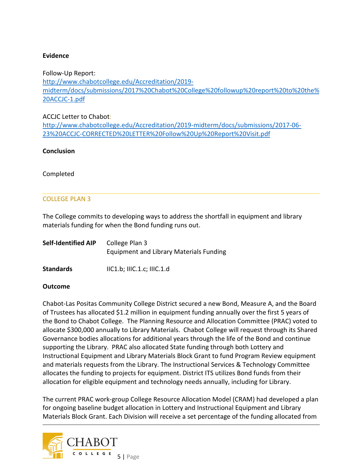#### **Evidence**

Follow-Up Report: [http://www.chabotcollege.edu/Accreditation/2019](http://www.chabotcollege.edu/Accreditation/2019-midterm/docs/submissions/2017%20Chabot%20College%20followup%20report%20to%20the%20ACCJC-1.pdf) [midterm/docs/submissions/2017%20Chabot%20College%20followup%20report%20to%20the%](http://www.chabotcollege.edu/Accreditation/2019-midterm/docs/submissions/2017%20Chabot%20College%20followup%20report%20to%20the%20ACCJC-1.pdf) [20ACCJC-1.pdf](http://www.chabotcollege.edu/Accreditation/2019-midterm/docs/submissions/2017%20Chabot%20College%20followup%20report%20to%20the%20ACCJC-1.pdf)

ACCJC Letter to Chabot:

[http://www.chabotcollege.edu/Accreditation/2019-midterm/docs/submissions/2017-06-](http://www.chabotcollege.edu/Accreditation/2019-midterm/docs/submissions/2017-06-23%20ACCJC-CORRECTED%20LETTER%20Follow%20Up%20Report%20Visit.pdf) [23%20ACCJC-CORRECTED%20LETTER%20Follow%20Up%20Report%20Visit.pdf](http://www.chabotcollege.edu/Accreditation/2019-midterm/docs/submissions/2017-06-23%20ACCJC-CORRECTED%20LETTER%20Follow%20Up%20Report%20Visit.pdf)

#### **Conclusion**

Completed

#### COLLEGE PLAN 3

The College commits to developing ways to address the shortfall in equipment and library materials funding for when the Bond funding runs out.

| <b>Self-Identified AIP</b> | College Plan 3                                 |
|----------------------------|------------------------------------------------|
|                            | <b>Equipment and Library Materials Funding</b> |
|                            |                                                |

**Standards** IIC1.b; IIIC.1.c; IIIC.1.d

#### **Outcome**

Chabot-Las Positas Community College District secured a new Bond, Measure A, and the Board of Trustees has allocated \$1.2 million in equipment funding annually over the first 5 years of the Bond to Chabot College. The Planning Resource and Allocation Committee (PRAC) voted to allocate \$300,000 annually to Library Materials. Chabot College will request through its Shared Governance bodies allocations for additional years through the life of the Bond and continue supporting the Library. PRAC also allocated State funding through both Lottery and Instructional Equipment and Library Materials Block Grant to fund Program Review equipment and materials requests from the Library. The Instructional Services & Technology Committee allocates the funding to projects for equipment. District ITS utilizes Bond funds from their allocation for eligible equipment and technology needs annually, including for Library.

The current PRAC work-group College Resource Allocation Model (CRAM) had developed a plan for ongoing baseline budget allocation in Lottery and Instructional Equipment and Library Materials Block Grant. Each Division will receive a set percentage of the funding allocated from

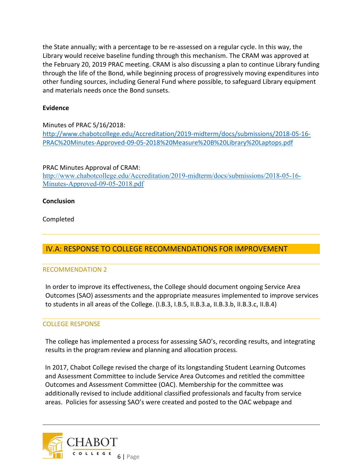the State annually; with a percentage to be re-assessed on a regular cycle. In this way, the Library would receive baseline funding through this mechanism. The CRAM was approved at the February 20, 2019 PRAC meeting. CRAM is also discussing a plan to continue Library funding through the life of the Bond, while beginning process of progressively moving expenditures into other funding sources, including General Fund where possible, to safeguard Library equipment and materials needs once the Bond sunsets.

## **Evidence**

Minutes of PRAC 5/16/2018: [http://www.chabotcollege.edu/Accreditation/2019-midterm/docs/submissions/2018-05-16-](http://www.chabotcollege.edu/Accreditation/2019-midterm/docs/submissions/2018-05-16-PRAC%20Minutes-Approved-09-05-2018%20Measure%20B%20Library%20Laptops.pdf) [PRAC%20Minutes-Approved-09-05-2018%20Measure%20B%20Library%20Laptops.pdf](http://www.chabotcollege.edu/Accreditation/2019-midterm/docs/submissions/2018-05-16-PRAC%20Minutes-Approved-09-05-2018%20Measure%20B%20Library%20Laptops.pdf)

#### PRAC Minutes Approval of CRAM:

[http://www.chabotcollege.edu/Accreditation/2019-midterm/docs/submissions/2018-05-16-](http://www.chabotcollege.edu/Accreditation/2019-midterm/docs/submissions/2018-05-16-Minutes-Approved-09-05-2018.pdf) [Minutes-Approved-09-05-2018.pdf](http://www.chabotcollege.edu/Accreditation/2019-midterm/docs/submissions/2018-05-16-Minutes-Approved-09-05-2018.pdf)

## **Conclusion**

Completed

# IV.A: RESPONSE TO COLLEGE RECOMMENDATIONS FOR IMPROVEMENT

#### RECOMMENDATION 2

In order to improve its effectiveness, the College should document ongoing Service Area Outcomes (SAO) assessments and the appropriate measures implemented to improve services to students in all areas of the College. (I.B.3, I.B.5, II.B.3.a, II.B.3.b, II.B.3.c, II.B.4)

## COLLEGE RESPONSE

The college has implemented a process for assessing SAO's, recording results, and integrating results in the program review and planning and allocation process.

In 2017, Chabot College revised the charge of its longstanding Student Learning Outcomes and Assessment Committee to include Service Area Outcomes and retitled the committee Outcomes and Assessment Committee (OAC). Membership for the committee was additionally revised to include additional classified professionals and faculty from service areas. Policies for assessing SAO's were created and posted to the OAC webpage and

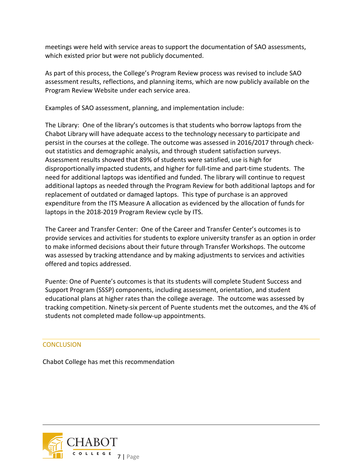meetings were held with service areas to support the documentation of SAO assessments, which existed prior but were not publicly documented.

As part of this process, the College's Program Review process was revised to include SAO assessment results, reflections, and planning items, which are now publicly available on the Program Review Website under each service area.

Examples of SAO assessment, planning, and implementation include:

The Library: One of the library's outcomes is that students who borrow laptops from the Chabot Library will have adequate access to the technology necessary to participate and persist in the courses at the college. The outcome was assessed in 2016/2017 through checkout statistics and demographic analysis, and through student satisfaction surveys. Assessment results showed that 89% of students were satisfied, use is high for disproportionally impacted students, and higher for full-time and part-time students. The need for additional laptops was identified and funded. The library will continue to request additional laptops as needed through the Program Review for both additional laptops and for replacement of outdated or damaged laptops. This type of purchase is an approved expenditure from the ITS Measure A allocation as evidenced by the allocation of funds for laptops in the 2018-2019 Program Review cycle by ITS.

The Career and Transfer Center: One of the Career and Transfer Center's outcomes is to provide services and activities for students to explore university transfer as an option in order to make informed decisions about their future through Transfer Workshops. The outcome was assessed by tracking attendance and by making adjustments to services and activities offered and topics addressed.

Puente: One of Puente's outcomes is that its students will complete Student Success and Support Program (SSSP) components, including assessment, orientation, and student educational plans at higher rates than the college average. The outcome was assessed by tracking competition. Ninety-six percent of Puente students met the outcomes, and the 4% of students not completed made follow-up appointments.

#### **CONCLUSION**

Chabot College has met this recommendation

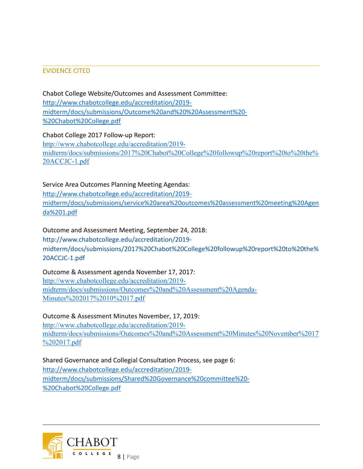#### EVIDENCE CITED

Chabot College Website/Outcomes and Assessment Committee: [http://www.chabotcollege.edu/accreditation/2019](http://www.chabotcollege.edu/accreditation/2019-midterm/docs/submissions/Outcome%20and%20%20Assessment%20-%20Chabot%20College.pdf) [midterm/docs/submissions/Outcome%20and%20%20Assessment%20-](http://www.chabotcollege.edu/accreditation/2019-midterm/docs/submissions/Outcome%20and%20%20Assessment%20-%20Chabot%20College.pdf) [%20Chabot%20College.pdf](http://www.chabotcollege.edu/accreditation/2019-midterm/docs/submissions/Outcome%20and%20%20Assessment%20-%20Chabot%20College.pdf)

Chabot College 2017 Follow-up Report: [http://www.chabotcollege.edu/accreditation/2019](http://www.chabotcollege.edu/accreditation/2019-midterm/docs/submissions/2017%20Chabot%20College%20followup%20report%20to%20the%20ACCJC-1.pdf) [midterm/docs/submissions/2017%20Chabot%20College%20followup%20report%20to%20the%](http://www.chabotcollege.edu/accreditation/2019-midterm/docs/submissions/2017%20Chabot%20College%20followup%20report%20to%20the%20ACCJC-1.pdf) [20ACCJC-1.pdf](http://www.chabotcollege.edu/accreditation/2019-midterm/docs/submissions/2017%20Chabot%20College%20followup%20report%20to%20the%20ACCJC-1.pdf)

## Service Area Outcomes Planning Meeting Agendas:

[http://www.chabotcollege.edu/accreditation/2019](http://www.chabotcollege.edu/accreditation/2019-midterm/docs/submissions/service%20area%20outcomes%20assessment%20meeting%20Agenda%201.pdf) [midterm/docs/submissions/service%20area%20outcomes%20assessment%20meeting%20Agen](http://www.chabotcollege.edu/accreditation/2019-midterm/docs/submissions/service%20area%20outcomes%20assessment%20meeting%20Agenda%201.pdf) [da%201.pdf](http://www.chabotcollege.edu/accreditation/2019-midterm/docs/submissions/service%20area%20outcomes%20assessment%20meeting%20Agenda%201.pdf)

Outcome and Assessment Meeting, September 24, 2018: http://www.chabotcollege.edu/accreditation/2019 midterm/docs/submissions/2017%20Chabot%20College%20followup%20report%20to%20the% 20ACCJC-1.pdf

Outcome & Assessment agenda November 17, 2017: [http://www.chabotcollege.edu/accreditation/2019](http://www.chabotcollege.edu/accreditation/2019-midterm/docs/submissions/Outcomes%20and%20Assessment%20Agenda-Minutes%202017%2010%2017.pdf) [midterm/docs/submissions/Outcomes%20and%20Assessment%20Agenda-](http://www.chabotcollege.edu/accreditation/2019-midterm/docs/submissions/Outcomes%20and%20Assessment%20Agenda-Minutes%202017%2010%2017.pdf)[Minutes%202017%2010%2017.pdf](http://www.chabotcollege.edu/accreditation/2019-midterm/docs/submissions/Outcomes%20and%20Assessment%20Agenda-Minutes%202017%2010%2017.pdf)

Outcome & Assessment Minutes November, 17, 2019: [http://www.chabotcollege.edu/accreditation/2019](http://www.chabotcollege.edu/accreditation/2019-midterm/docs/submissions/Outcomes%20and%20Assessment%20Minutes%20November%2017%202017.pdf) [midterm/docs/submissions/Outcomes%20and%20Assessment%20Minutes%20November%2017](http://www.chabotcollege.edu/accreditation/2019-midterm/docs/submissions/Outcomes%20and%20Assessment%20Minutes%20November%2017%202017.pdf) [%202017.pdf](http://www.chabotcollege.edu/accreditation/2019-midterm/docs/submissions/Outcomes%20and%20Assessment%20Minutes%20November%2017%202017.pdf)

Shared Governance and Collegial Consultation Process, see page 6: [http://www.chabotcollege.edu/accreditation/2019](http://www.chabotcollege.edu/accreditation/2019-midterm/docs/submissions/Shared%20Governance%20committee%20-%20Chabot%20College.pdf) [midterm/docs/submissions/Shared%20Governance%20committee%20-](http://www.chabotcollege.edu/accreditation/2019-midterm/docs/submissions/Shared%20Governance%20committee%20-%20Chabot%20College.pdf) [%20Chabot%20College.pdf](http://www.chabotcollege.edu/accreditation/2019-midterm/docs/submissions/Shared%20Governance%20committee%20-%20Chabot%20College.pdf)

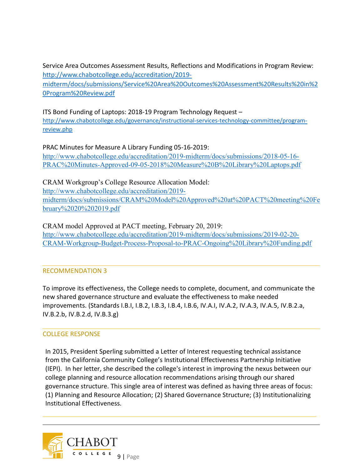Service Area Outcomes Assessment Results, Reflections and Modifications in Program Review: [http://www.chabotcollege.edu/accreditation/2019-](http://www.chabotcollege.edu/accreditation/2019-midterm/docs/submissions/Service%20Area%20Outcomes%20Assessment%20Results%20in%20Program%20Review.pdf)

[midterm/docs/submissions/Service%20Area%20Outcomes%20Assessment%20Results%20in%2](http://www.chabotcollege.edu/accreditation/2019-midterm/docs/submissions/Service%20Area%20Outcomes%20Assessment%20Results%20in%20Program%20Review.pdf) [0Program%20Review.pdf](http://www.chabotcollege.edu/accreditation/2019-midterm/docs/submissions/Service%20Area%20Outcomes%20Assessment%20Results%20in%20Program%20Review.pdf)

## ITS Bond Funding of Laptops: 2018-19 Program Technology Request –

[http://www.chabotcollege.edu/governance/instructional-services-technology-committee/program](http://www.chabotcollege.edu/governance/instructional-services-technology-committee/program-review.php)[review.php](http://www.chabotcollege.edu/governance/instructional-services-technology-committee/program-review.php)

PRAC Minutes for Measure A Library Funding 05-16-2019:

[http://www.chabotcollege.edu/accreditation/2019-midterm/docs/submissions/2018-05-16-](http://www.chabotcollege.edu/accreditation/2019-midterm/docs/submissions/2018-05-16-PRAC%20Minutes-Approved-09-05-2018%20Measure%20B%20Library%20Laptops.pdf) [PRAC%20Minutes-Approved-09-05-2018%20Measure%20B%20Library%20Laptops.pdf](http://www.chabotcollege.edu/accreditation/2019-midterm/docs/submissions/2018-05-16-PRAC%20Minutes-Approved-09-05-2018%20Measure%20B%20Library%20Laptops.pdf)

CRAM Workgroup's College Resource Allocation Model: [http://www.chabotcollege.edu/accreditation/2019](http://www.chabotcollege.edu/accreditation/2019-midterm/docs/submissions/CRAM%20Model%20Approved%20at%20PACT%20meeting%20February%2020%202019.pdf) [midterm/docs/submissions/CRAM%20Model%20Approved%20at%20PACT%20meeting%20Fe](http://www.chabotcollege.edu/accreditation/2019-midterm/docs/submissions/CRAM%20Model%20Approved%20at%20PACT%20meeting%20February%2020%202019.pdf) [bruary%2020%202019.pdf](http://www.chabotcollege.edu/accreditation/2019-midterm/docs/submissions/CRAM%20Model%20Approved%20at%20PACT%20meeting%20February%2020%202019.pdf)

#### CRAM model Approved at PACT meeting, February 20, 2019:

[http://www.chabotcollege.edu/accreditation/2019-midterm/docs/submissions/2019-02-20-](http://www.chabotcollege.edu/accreditation/2019-midterm/docs/submissions/2019-02-20-CRAM-Workgroup-Budget-Process-Proposal-to-PRAC-Ongoing%20Library%20Funding.pdf) [CRAM-Workgroup-Budget-Process-Proposal-to-PRAC-Ongoing%20Library%20Funding.pdf](http://www.chabotcollege.edu/accreditation/2019-midterm/docs/submissions/2019-02-20-CRAM-Workgroup-Budget-Process-Proposal-to-PRAC-Ongoing%20Library%20Funding.pdf)

#### RECOMMENDATION 3

To improve its effectiveness, the College needs to complete, document, and communicate the new shared governance structure and evaluate the effectiveness to make needed improvements. (Standards I.B.I, I.B.2, I.B.3, I.B.4, I.B.6, IV.A.I, IV.A.2, IV.A.3, IV.A.5, IV.B.2.a, IV.B.2.b, IV.B.2.d, IV.B.3.g)

#### COLLEGE RESPONSE

In 2015, President Sperling submitted a Letter of Interest requesting technical assistance from the California Community College's Institutional Effectiveness Partnership Initiative (IEPI). In her letter, she described the college's interest in improving the nexus between our college planning and resource allocation recommendations arising through our shared governance structure. This single area of interest was defined as having three areas of focus: (1) Planning and Resource Allocation; (2) Shared Governance Structure; (3) Institutionalizing Institutional Effectiveness.

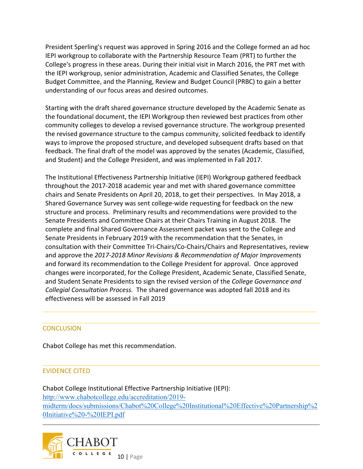President Sperling's request was approved in Spring 2016 and the College formed an ad hoc IEPI workgroup to collaborate with the Partnership Resource Team (PRT) to further the College's progress in these areas. During their initial visit in March 2016, the PRT met with the IEPI workgroup, senior administration, Academic and Classified Senates, the College Budget Committee, and the Planning, Review and Budget Council (PRBC) to gain a better understanding of our focus areas and desired outcomes.

Starting with the draft shared governance structure developed by the Academic Senate as the foundational document, the IEPI Workgroup then reviewed best practices from other community colleges to develop a revised governance structure. The workgroup presented the revised governance structure to the campus community, solicited feedback to identify ways to improve the proposed structure, and developed subsequent drafts based on that feedback. The final draft of the model was approved by the senates (Academic, Classified, and Student) and the College President, and was implemented in Fall 2017.

The Institutional Effectiveness Partnership Initiative (IEPI) Workgroup gathered feedback throughout the 2017-2018 academic year and met with shared governance committee chairs and Senate Presidents on April 20, 2018, to get their perspectives. In May 2018, a Shared Governance Survey was sent college-wide requesting for feedback on the new structure and process. Preliminary results and recommendations were provided to the Senate Presidents and Committee Chairs at their Chairs Training in August 2018. The complete and final Shared Governance Assessment packet was sent to the College and Senate Presidents in February 2019 with the recommendation that the Senates, in consultation with their Committee Tri-Chairs/Co-Chairs/Chairs and Representatives, review and approve the *2017-2018 Minor Revisions & Recommendation of Major Improvements* and forward its recommendation to the College President for approval. Once approved changes were incorporated, for the College President, Academic Senate, Classified Senate, and Student Senate Presidents to sign the revised version of the *College Governance and Collegial Consultation Process.* The shared governance was adopted fall 2018 and its effectiveness will be assessed in Fall 2019

#### **CONCLUSION**

Chabot College has met this recommendation.

#### EVIDENCE CITED

Chabot College Institutional Effective Partnership Initiative (IEPI): [http://www.chabotcollege.edu/accreditation/2019](http://www.chabotcollege.edu/accreditation/2019-midterm/docs/submissions/Chabot%20College%20Institutional%20Effective%20Partnership%20Initiative%20-%20IEPI.pdf) [midterm/docs/submissions/Chabot%20College%20Institutional%20Effective%20Partnership%2](http://www.chabotcollege.edu/accreditation/2019-midterm/docs/submissions/Chabot%20College%20Institutional%20Effective%20Partnership%20Initiative%20-%20IEPI.pdf) [0Initiative%20-%20IEPI.pdf](http://www.chabotcollege.edu/accreditation/2019-midterm/docs/submissions/Chabot%20College%20Institutional%20Effective%20Partnership%20Initiative%20-%20IEPI.pdf)

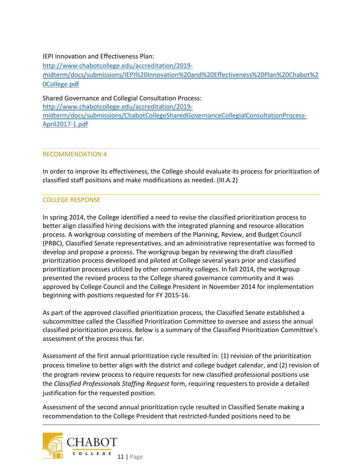## IEPI Innovation and Effectiveness Plan:

[http://www.chabotcollege.edu/accreditation/2019](http://www.chabotcollege.edu/accreditation/2019-midterm/docs/submissions/IEPI%20Innovation%20and%20Effectiveness%20Plan%20Chabot%20College.pdf) [midterm/docs/submissions/IEPI%20Innovation%20and%20Effectiveness%20Plan%20Chabot%2](http://www.chabotcollege.edu/accreditation/2019-midterm/docs/submissions/IEPI%20Innovation%20and%20Effectiveness%20Plan%20Chabot%20College.pdf) [0College.pdf](http://www.chabotcollege.edu/accreditation/2019-midterm/docs/submissions/IEPI%20Innovation%20and%20Effectiveness%20Plan%20Chabot%20College.pdf)

Shared Governance and Collegial Consultation Process: [http://www.chabotcollege.edu/accreditation/2019](http://www.chabotcollege.edu/accreditation/2019-midterm/docs/submissions/ChabotCollegeSharedGovernanceCollegialConsultationProcess-April2017-1.pdf) [midterm/docs/submissions/ChabotCollegeSharedGovernanceCollegialConsultationProcess-](http://www.chabotcollege.edu/accreditation/2019-midterm/docs/submissions/ChabotCollegeSharedGovernanceCollegialConsultationProcess-April2017-1.pdf)[April2017-1.pdf](http://www.chabotcollege.edu/accreditation/2019-midterm/docs/submissions/ChabotCollegeSharedGovernanceCollegialConsultationProcess-April2017-1.pdf)

## RECOMMENDATION 4

In order to improve its effectiveness, the College should evaluate its process for prioritization of classified staff positions and make modifications as needed. (III.A.2)

## COLLEGE RESPONSE

In spring 2014, the College identified a need to revise the classified prioritization process to better align classified hiring decisions with the integrated planning and resource allocation process. A workgroup consisting of members of the Planning, Review, and Budget Council (PRBC), Classified Senate representatives, and an administrative representative was formed to develop and propose a process. The workgroup began by reviewing the draft classified prioritization process developed and piloted at College several years prior and classified prioritization processes utilized by other community colleges. In fall 2014, the workgroup presented the revised process to the College shared governance community and it was approved by College Council and the College President in November 2014 for implementation beginning with positions requested for FY 2015-16.

As part of the approved classified prioritization process, the Classified Senate established a subcommittee called the Classified Prioritization Committee to oversee and assess the annual classified prioritization process. Below is a summary of the Classified Prioritization Committee's assessment of the process thus far.

Assessment of the first annual prioritization cycle resulted in: (1) revision of the prioritization process timeline to better align with the district and college budget calendar, and (2) revision of the program review process to require requests for new classified professional positions use the *Classified Professionals Staffing Request* form, requiring requesters to provide a detailed justification for the requested position.

Assessment of the second annual prioritization cycle resulted in Classified Senate making a recommendation to the College President that restricted-funded positions need to be

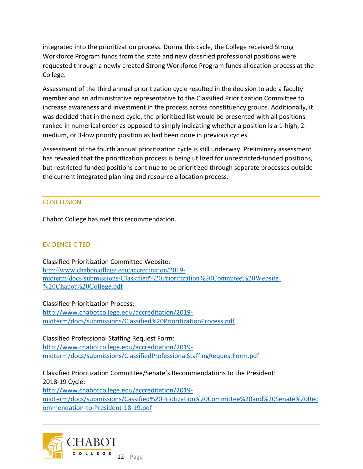integrated into the prioritization process. During this cycle, the College received Strong Workforce Program funds from the state and new classified professional positions were requested through a newly created Strong Workforce Program funds allocation process at the College.

Assessment of the third annual prioritization cycle resulted in the decision to add a faculty member and an administrative representative to the Classified Prioritization Committee to increase awareness and investment in the process across constituency groups. Additionally, it was decided that in the next cycle, the prioritized list would be presented with all positions ranked in numerical order as opposed to simply indicating whether a position is a 1-high, 2 medium, or 3-low priority position as had been done in previous cycles.

Assessment of the fourth annual prioritization cycle is still underway. Preliminary assessment has revealed that the prioritization process is being utilized for unrestricted-funded positions, but restricted-funded positions continue to be prioritized through separate processes outside the current integrated planning and resource allocation process.

## **CONCLUSION**

Chabot College has met this recommendation.

#### EVIDENCE CITED

Classified Prioritization Committee Website: [http://www.chabotcollege.edu/accreditation/2019](http://www.chabotcollege.edu/accreditation/2019-midterm/docs/submissions/Classified%20Prioritization%20Commitee%20Website-%20Chabot%20College.pdf) [midterm/docs/submissions/Classified%20Prioritization%20Commitee%20Website-](http://www.chabotcollege.edu/accreditation/2019-midterm/docs/submissions/Classified%20Prioritization%20Commitee%20Website-%20Chabot%20College.pdf) [%20Chabot%20College.pdf](http://www.chabotcollege.edu/accreditation/2019-midterm/docs/submissions/Classified%20Prioritization%20Commitee%20Website-%20Chabot%20College.pdf)

Classified Prioritization Process: [http://www.chabotcollege.edu/accreditation/2019](http://www.chabotcollege.edu/accreditation/2019-midterm/docs/submissions/Classified%20PrioritizationProcess.pdf) [midterm/docs/submissions/Classified%20PrioritizationProcess.pdf](http://www.chabotcollege.edu/accreditation/2019-midterm/docs/submissions/Classified%20PrioritizationProcess.pdf)

Classified Professional Staffing Request Form: [http://www.chabotcollege.edu/accreditation/2019](http://www.chabotcollege.edu/accreditation/2019-midterm/docs/submissions/ClassifiedProfessionalStaffingRequestForm.pdf) [midterm/docs/submissions/ClassifiedProfessionalStaffingRequestForm.pdf](http://www.chabotcollege.edu/accreditation/2019-midterm/docs/submissions/ClassifiedProfessionalStaffingRequestForm.pdf)

Classified Prioritization Committee/Senate's Recommendations to the President: 2018-19 Cycle:

[http://www.chabotcollege.edu/accreditation/2019](http://www.chabotcollege.edu/accreditation/2019-midterm/docs/submissions/Cassified%20Priotization%20Committee%20and%20Senate%20Recommendation-to-President-18-19.pdf) [midterm/docs/submissions/Cassified%20Priotization%20Committee%20and%20Senate%20Rec](http://www.chabotcollege.edu/accreditation/2019-midterm/docs/submissions/Cassified%20Priotization%20Committee%20and%20Senate%20Recommendation-to-President-18-19.pdf) [ommendation-to-President-18-19.pdf](http://www.chabotcollege.edu/accreditation/2019-midterm/docs/submissions/Cassified%20Priotization%20Committee%20and%20Senate%20Recommendation-to-President-18-19.pdf)

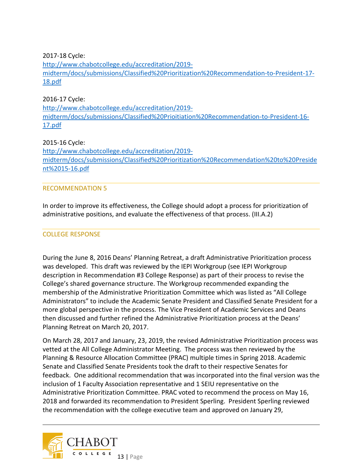2017-18 Cycle:

[http://www.chabotcollege.edu/accreditation/2019](http://www.chabotcollege.edu/accreditation/2019-midterm/docs/submissions/Classified%20Prioritization%20Recommendation-to-President-17-18.pdf) [midterm/docs/submissions/Classified%20Prioritization%20Recommendation-to-President-17-](http://www.chabotcollege.edu/accreditation/2019-midterm/docs/submissions/Classified%20Prioritization%20Recommendation-to-President-17-18.pdf) [18.pdf](http://www.chabotcollege.edu/accreditation/2019-midterm/docs/submissions/Classified%20Prioritization%20Recommendation-to-President-17-18.pdf)

#### 2016-17 Cycle:

[http://www.chabotcollege.edu/accreditation/2019](http://www.chabotcollege.edu/accreditation/2019-midterm/docs/submissions/Classified%20Prioitiation%20Recommendation-to-President-16-17.pdf) [midterm/docs/submissions/Classified%20Prioitiation%20Recommendation-to-President-16-](http://www.chabotcollege.edu/accreditation/2019-midterm/docs/submissions/Classified%20Prioitiation%20Recommendation-to-President-16-17.pdf) [17.pdf](http://www.chabotcollege.edu/accreditation/2019-midterm/docs/submissions/Classified%20Prioitiation%20Recommendation-to-President-16-17.pdf)

#### 2015-16 Cycle:

[http://www.chabotcollege.edu/accreditation/2019](http://www.chabotcollege.edu/accreditation/2019-midterm/docs/submissions/Classified%20Prioritization%20Recommendation%20to%20President%2015-16.pdf) [midterm/docs/submissions/Classified%20Prioritization%20Recommendation%20to%20Preside](http://www.chabotcollege.edu/accreditation/2019-midterm/docs/submissions/Classified%20Prioritization%20Recommendation%20to%20President%2015-16.pdf) [nt%2015-16.pdf](http://www.chabotcollege.edu/accreditation/2019-midterm/docs/submissions/Classified%20Prioritization%20Recommendation%20to%20President%2015-16.pdf)

#### RECOMMENDATION 5

In order to improve its effectiveness, the College should adopt a process for prioritization of administrative positions, and evaluate the effectiveness of that process. (III.A.2)

## COLLEGE RESPONSE

During the June 8, 2016 Deans' Planning Retreat, a draft Administrative Prioritization process was developed. This draft was reviewed by the IEPI Workgroup (see IEPI Workgroup description in Recommendation #3 College Response) as part of their process to revise the College's shared governance structure. The Workgroup recommended expanding the membership of the Administrative Prioritization Committee which was listed as "All College Administrators" to include the Academic Senate President and Classified Senate President for a more global perspective in the process. The Vice President of Academic Services and Deans then discussed and further refined the Administrative Prioritization process at the Deans' Planning Retreat on March 20, 2017.

On March 28, 2017 and January, 23, 2019, the revised Administrative Prioritization process was vetted at the All College Administrator Meeting. The process was then reviewed by the Planning & Resource Allocation Committee (PRAC) multiple times in Spring 2018. Academic Senate and Classified Senate Presidents took the draft to their respective Senates for feedback. One additional recommendation that was incorporated into the final version was the inclusion of 1 Faculty Association representative and 1 SEIU representative on the Administrative Prioritization Committee. PRAC voted to recommend the process on May 16, 2018 and forwarded its recommendation to President Sperling. President Sperling reviewed the recommendation with the college executive team and approved on January 29,

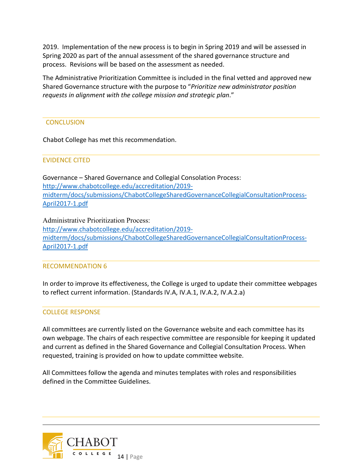2019. Implementation of the new process is to begin in Spring 2019 and will be assessed in Spring 2020 as part of the annual assessment of the shared governance structure and process. Revisions will be based on the assessment as needed.

The Administrative Prioritization Committee is included in the final vetted and approved new Shared Governance structure with the purpose to "*Prioritize new administrator position requests in alignment with the college mission and strategic plan*."

#### **CONCLUSION**

Chabot College has met this recommendation.

#### EVIDENCE CITED

Governance – Shared Governance and Collegial Consolation Process: [http://www.chabotcollege.edu/accreditation/2019](http://www.chabotcollege.edu/accreditation/2019-midterm/docs/submissions/ChabotCollegeSharedGovernanceCollegialConsultationProcess-April2017-1.pdf) [midterm/docs/submissions/ChabotCollegeSharedGovernanceCollegialConsultationProcess-](http://www.chabotcollege.edu/accreditation/2019-midterm/docs/submissions/ChabotCollegeSharedGovernanceCollegialConsultationProcess-April2017-1.pdf)[April2017-1.pdf](http://www.chabotcollege.edu/accreditation/2019-midterm/docs/submissions/ChabotCollegeSharedGovernanceCollegialConsultationProcess-April2017-1.pdf)

Administrative Prioritization Process: [http://www.chabotcollege.edu/accreditation/2019](http://www.chabotcollege.edu/accreditation/2019-midterm/docs/submissions/ChabotCollegeSharedGovernanceCollegialConsultationProcess-April2017-1.pdf) [midterm/docs/submissions/ChabotCollegeSharedGovernanceCollegialConsultationProcess-](http://www.chabotcollege.edu/accreditation/2019-midterm/docs/submissions/ChabotCollegeSharedGovernanceCollegialConsultationProcess-April2017-1.pdf)[April2017-1.pdf](http://www.chabotcollege.edu/accreditation/2019-midterm/docs/submissions/ChabotCollegeSharedGovernanceCollegialConsultationProcess-April2017-1.pdf)

#### RECOMMENDATION 6

In order to improve its effectiveness, the College is urged to update their committee webpages to reflect current information. (Standards IV.A, IV.A.1, IV.A.2, IV.A.2.a)

#### COLLEGE RESPONSE

All committees are currently listed on the Governance website and each committee has its own webpage. The chairs of each respective committee are responsible for keeping it updated and current as defined in the Shared Governance and Collegial Consultation Process. When requested, training is provided on how to update committee website.

All Committees follow the agenda and minutes templates with roles and responsibilities defined in the Committee Guidelines.

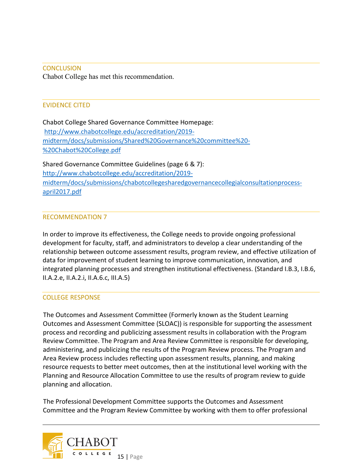**CONCLUSION** Chabot College has met this recommendation.

#### EVIDENCE CITED

Chabot College Shared Governance Committee Homepage: [http://www.chabotcollege.edu/accreditation/2019](http://www.chabotcollege.edu/accreditation/2019-midterm/docs/submissions/Shared%20Governance%20committee%20-%20Chabot%20College.pdf) [midterm/docs/submissions/Shared%20Governance%20committee%20-](http://www.chabotcollege.edu/accreditation/2019-midterm/docs/submissions/Shared%20Governance%20committee%20-%20Chabot%20College.pdf) [%20Chabot%20College.pdf](http://www.chabotcollege.edu/accreditation/2019-midterm/docs/submissions/Shared%20Governance%20committee%20-%20Chabot%20College.pdf)

Shared Governance Committee Guidelines (page 6 & 7): [http://www.chabotcollege.edu/accreditation/2019](http://www.chabotcollege.edu/accreditation/2019-midterm/docs/submissions/chabotcollegesharedgovernancecollegialconsultationprocess-april2017.pdf) [midterm/docs/submissions/chabotcollegesharedgovernancecollegialconsultationprocess](http://www.chabotcollege.edu/accreditation/2019-midterm/docs/submissions/chabotcollegesharedgovernancecollegialconsultationprocess-april2017.pdf)[april2017.pdf](http://www.chabotcollege.edu/accreditation/2019-midterm/docs/submissions/chabotcollegesharedgovernancecollegialconsultationprocess-april2017.pdf)

#### RECOMMENDATION 7

In order to improve its effectiveness, the College needs to provide ongoing professional development for faculty, staff, and administrators to develop a clear understanding of the relationship between outcome assessment results, program review, and effective utilization of data for improvement of student learning to improve communication, innovation, and integrated planning processes and strengthen institutional effectiveness. (Standard I.B.3, I.B.6, II.A.2.e, II.A.2.i, II.A.6.c, III.A.5)

#### COLLEGE RESPONSE

The Outcomes and Assessment Committee (Formerly known as the Student Learning Outcomes and Assessment Committee (SLOAC)) is responsible for supporting the assessment process and recording and publicizing assessment results in collaboration with the Program Review Committee. The Program and Area Review Committee is responsible for developing, administering, and publicizing the results of the Program Review process. The Program and Area Review process includes reflecting upon assessment results, planning, and making resource requests to better meet outcomes, then at the institutional level working with the Planning and Resource Allocation Committee to use the results of program review to guide planning and allocation.

The Professional Development Committee supports the Outcomes and Assessment Committee and the Program Review Committee by working with them to offer professional

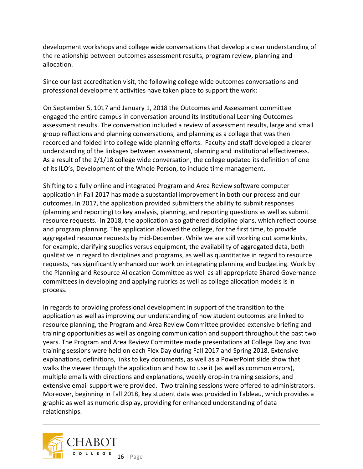development workshops and college wide conversations that develop a clear understanding of the relationship between outcomes assessment results, program review, planning and allocation.

Since our last accreditation visit, the following college wide outcomes conversations and professional development activities have taken place to support the work:

On September 5, 1017 and January 1, 2018 the Outcomes and Assessment committee engaged the entire campus in conversation around its Institutional Learning Outcomes assessment results. The conversation included a review of assessment results, large and small group reflections and planning conversations, and planning as a college that was then recorded and folded into college wide planning efforts. Faculty and staff developed a clearer understanding of the linkages between assessment, planning and institutional effectiveness. As a result of the 2/1/18 college wide conversation, the college updated its definition of one of its ILO's, Development of the Whole Person, to include time management.

Shifting to a fully online and integrated Program and Area Review software computer application in Fall 2017 has made a substantial improvement in both our process and our outcomes. In 2017, the application provided submitters the ability to submit responses (planning and reporting) to key analysis, planning, and reporting questions as well as submit resource requests. In 2018, the application also gathered discipline plans, which reflect course and program planning. The application allowed the college, for the first time, to provide aggregated resource requests by mid-December. While we are still working out some kinks, for example, clarifying supplies versus equipment, the availability of aggregated data, both qualitative in regard to disciplines and programs, as well as quantitative in regard to resource requests, has significantly enhanced our work on integrating planning and budgeting. Work by the Planning and Resource Allocation Committee as well as all appropriate Shared Governance committees in developing and applying rubrics as well as college allocation models is in process.

In regards to providing professional development in support of the transition to the application as well as improving our understanding of how student outcomes are linked to resource planning, the Program and Area Review Committee provided extensive briefing and training opportunities as well as ongoing communication and support throughout the past two years. The Program and Area Review Committee made presentations at College Day and two training sessions were held on each Flex Day during Fall 2017 and Spring 2018. Extensive explanations, definitions, links to key documents, as well as a PowerPoint slide show that walks the viewer through the application and how to use it (as well as common errors), multiple emails with directions and explanations, weekly drop-in training sessions, and extensive email support were provided. Two training sessions were offered to administrators. Moreover, beginning in Fall 2018, key student data was provided in Tableau, which provides a graphic as well as numeric display, providing for enhanced understanding of data relationships.

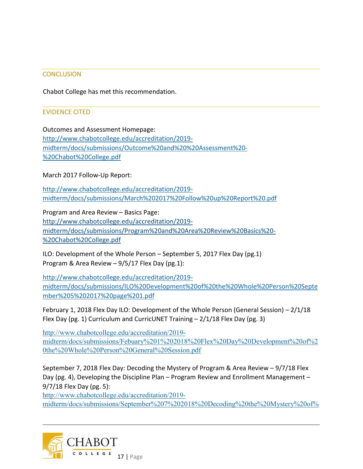#### **CONCLUSION**

Chabot College has met this recommendation.

#### EVIDENCE CITED

Outcomes and Assessment Homepage: [http://www.chabotcollege.edu/accreditation/2019](http://www.chabotcollege.edu/accreditation/2019-midterm/docs/submissions/Outcome%20and%20%20Assessment%20-%20Chabot%20College.pdf) [midterm/docs/submissions/Outcome%20and%20%20Assessment%20-](http://www.chabotcollege.edu/accreditation/2019-midterm/docs/submissions/Outcome%20and%20%20Assessment%20-%20Chabot%20College.pdf) [%20Chabot%20College.pdf](http://www.chabotcollege.edu/accreditation/2019-midterm/docs/submissions/Outcome%20and%20%20Assessment%20-%20Chabot%20College.pdf)

March 2017 Follow-Up Report:

[http://www.chabotcollege.edu/accreditation/2019](http://www.chabotcollege.edu/accreditation/2019-midterm/docs/submissions/March%202017%20Follow%20up%20Report%20.pdf) [midterm/docs/submissions/March%202017%20Follow%20up%20Report%20.pdf](http://www.chabotcollege.edu/accreditation/2019-midterm/docs/submissions/March%202017%20Follow%20up%20Report%20.pdf)

Program and Area Review – Basics Page: http://www.chabotcollege.edu/accreditation/2019 midterm/docs/submissions/Program%20and%20Area%20Review%20Basics%20- %20Chabot%20College.pdf

ILO: Development of the Whole Person – September 5, 2017 Flex Day (pg.1) Program & Area Review – 9/5/17 Flex Day (pg.1):

[http://www.chabotcollege.edu/accreditation/2019](http://www.chabotcollege.edu/accreditation/2019-midterm/docs/submissions/ILO%20Development%20of%20the%20Whole%20Person%20September%205%202017%20page%201.pdf) [midterm/docs/submissions/ILO%20Development%20of%20the%20Whole%20Person%20Septe](http://www.chabotcollege.edu/accreditation/2019-midterm/docs/submissions/ILO%20Development%20of%20the%20Whole%20Person%20September%205%202017%20page%201.pdf) [mber%205%202017%20page%201.pdf](http://www.chabotcollege.edu/accreditation/2019-midterm/docs/submissions/ILO%20Development%20of%20the%20Whole%20Person%20September%205%202017%20page%201.pdf)

February 1, 2018 Flex Day ILO: Development of the Whole Person (General Session) – 2/1/18 Flex Day (pg. 1) Curriculum and CurricUNET Training  $-2/1/18$  Flex Day (pg. 3)

[http://www.chabotcollege.edu/accreditation/2019](http://www.chabotcollege.edu/accreditation/2019-midterm/docs/submissions/Febuary%201%202018%20Flex%20Day%20Development%20of%20the%20Whole%20Person%20General%20Session.pdf) [midterm/docs/submissions/Febuary%201%202018%20Flex%20Day%20Development%20of%2](http://www.chabotcollege.edu/accreditation/2019-midterm/docs/submissions/Febuary%201%202018%20Flex%20Day%20Development%20of%20the%20Whole%20Person%20General%20Session.pdf) [0the%20Whole%20Person%20General%20Session.pdf](http://www.chabotcollege.edu/accreditation/2019-midterm/docs/submissions/Febuary%201%202018%20Flex%20Day%20Development%20of%20the%20Whole%20Person%20General%20Session.pdf)

September 7, 2018 Flex Day: Decoding the Mystery of Program & Area Review – 9/7/18 Flex Day (pg. 4), Developing the Discipline Plan – Program Review and Enrollment Management – 9/7/18 Flex Day (pg. 5):

[http://www.chabotcollege.edu/accreditation/2019-](http://www.chabotcollege.edu/accreditation/2019-midterm/docs/submissions/September%207%202018%20Decoding%20the%20Mystery%20of%20Program%20and%20Area%20Review%20%20flex%20day%20schedule%20Chabot%20College.pdf)

[midterm/docs/submissions/September%207%202018%20Decoding%20the%20Mystery%20of%](http://www.chabotcollege.edu/accreditation/2019-midterm/docs/submissions/September%207%202018%20Decoding%20the%20Mystery%20of%20Program%20and%20Area%20Review%20%20flex%20day%20schedule%20Chabot%20College.pdf)

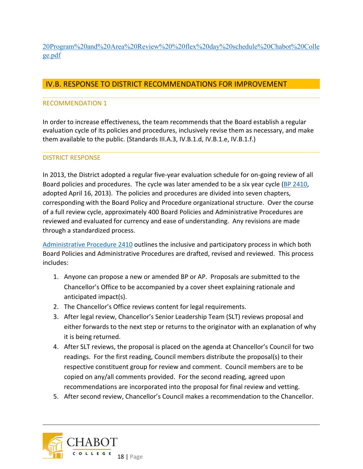[20Program%20and%20Area%20Review%20%20flex%20day%20schedule%20Chabot%20Colle](http://www.chabotcollege.edu/accreditation/2019-midterm/docs/submissions/September%207%202018%20Decoding%20the%20Mystery%20of%20Program%20and%20Area%20Review%20%20flex%20day%20schedule%20Chabot%20College.pdf) [ge.pdf](http://www.chabotcollege.edu/accreditation/2019-midterm/docs/submissions/September%207%202018%20Decoding%20the%20Mystery%20of%20Program%20and%20Area%20Review%20%20flex%20day%20schedule%20Chabot%20College.pdf)

## IV.B. RESPONSE TO DISTRICT RECOMMENDATIONS FOR IMPROVEMENT

## RECOMMENDATION 1

In order to increase effectiveness, the team recommends that the Board establish a regular evaluation cycle of its policies and procedures, inclusively revise them as necessary, and make them available to the public. (Standards III.A.3, IV.B.1.d, IV.B.1.e, IV.B.1.f.)

## DISTRICT RESPONSE

In 2013, the District adopted a regular five-year evaluation schedule for on-going review of all Board policies and procedures. The cycle was later amended to be a six year cycle [\(BP 2410,](http://www.clpccd.org/board/documents/BP2410BoardPolicyandAdministrativeProcedureRev.4-16-13Adopted.pdf) adopted April 16, 2013). The policies and procedures are divided into seven chapters, corresponding with the Board Policy and Procedure organizational structure. Over the course of a full review cycle, approximately 400 Board Policies and Administrative Procedures are reviewed and evaluated for currency and ease of understanding. Any revisions are made through a standardized process.

[Administrative Procedure 2410](http://www.clpccd.org/board/documents/AP2410BoardPolicyandAdministrativeProcedureRev.3-19-13_Approved.pdf) outlines the inclusive and participatory process in which both Board Policies and Administrative Procedures are drafted, revised and reviewed. This process includes:

- 1. Anyone can propose a new or amended BP or AP. Proposals are submitted to the Chancellor's Office to be accompanied by a cover sheet explaining rationale and anticipated impact(s).
- 2. The Chancellor's Office reviews content for legal requirements.
- 3. After legal review, Chancellor's Senior Leadership Team (SLT) reviews proposal and either forwards to the next step or returns to the originator with an explanation of why it is being returned.
- 4. After SLT reviews, the proposal is placed on the agenda at Chancellor's Council for two readings. For the first reading, Council members distribute the proposal(s) to their respective constituent group for review and comment. Council members are to be copied on any/all comments provided. For the second reading, agreed upon recommendations are incorporated into the proposal for final review and vetting.
- 5. After second review, Chancellor's Council makes a recommendation to the Chancellor.

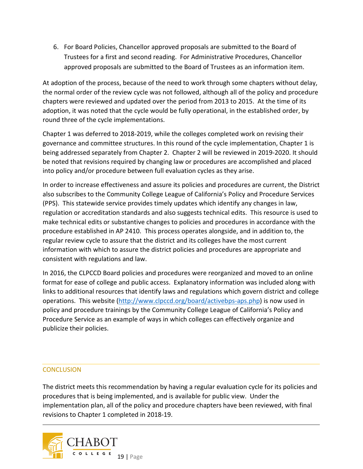6. For Board Policies, Chancellor approved proposals are submitted to the Board of Trustees for a first and second reading. For Administrative Procedures, Chancellor approved proposals are submitted to the Board of Trustees as an information item.

At adoption of the process, because of the need to work through some chapters without delay, the normal order of the review cycle was not followed, although all of the policy and procedure chapters were reviewed and updated over the period from 2013 to 2015. At the time of its adoption, it was noted that the cycle would be fully operational, in the established order, by round three of the cycle implementations.

Chapter 1 was deferred to 2018-2019, while the colleges completed work on revising their governance and committee structures. In this round of the cycle implementation, Chapter 1 is being addressed separately from Chapter 2. Chapter 2 will be reviewed in 2019-2020. It should be noted that revisions required by changing law or procedures are accomplished and placed into policy and/or procedure between full evaluation cycles as they arise.

In order to increase effectiveness and assure its policies and procedures are current, the District also subscribes to the Community College League of California's Policy and Procedure Services (PPS). This statewide service provides timely updates which identify any changes in law, regulation or accreditation standards and also suggests technical edits. This resource is used to make technical edits or substantive changes to policies and procedures in accordance with the procedure established in AP 2410. This process operates alongside, and in addition to, the regular review cycle to assure that the district and its colleges have the most current information with which to assure the district policies and procedures are appropriate and consistent with regulations and law.

In 2016, the CLPCCD Board policies and procedures were reorganized and moved to an online format for ease of college and public access. Explanatory information was included along with links to additional resources that identify laws and regulations which govern district and college operations. This website [\(http://www.clpccd.org/board/activebps-aps.php\)](http://www.clpccd.org/board/activebps-aps.php) is now used in policy and procedure trainings by the Community College League of California's Policy and Procedure Service as an example of ways in which colleges can effectively organize and publicize their policies.

#### **CONCLUSION**

The district meets this recommendation by having a regular evaluation cycle for its policies and procedures that is being implemented, and is available for public view. Under the implementation plan, all of the policy and procedure chapters have been reviewed, with final revisions to Chapter 1 completed in 2018-19.

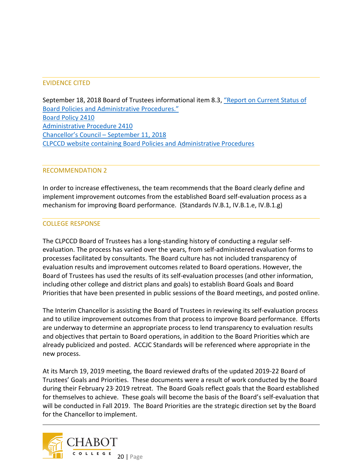## EVIDENCE CITED

September 18, 2018 Board of Trustees informational item 8.3, "Report on Current Status of [Board Policies and Administrative Procedures."](http://www.clpccd.org/board/documents/8.3ReportonCurrentStatusofBPsandAPs.pdf) [Board Policy 2410](http://www.clpccd.org/board/documents/BP2410BoardPolicyandAdministrativeProcedureRev.4-16-13Adopted.pdf) [Administrative Procedure 2410](http://www.clpccd.org/board/documents/AP2410BoardPolicyandAdministrativeProcedureRev.3-19-13_Approved.pdf) [Chancellor's Council –](http://www.clpccd.org/board/documents/2018_0911CouncilMtgAgendaandMinutesCombined.pdf) September 11, 2018 [CLPCCD website containing Board Policies and Administrative Procedures](http://www.clpccd.org/board/activebps-aps.php)

#### RECOMMENDATION 2

In order to increase effectiveness, the team recommends that the Board clearly define and implement improvement outcomes from the established Board self-evaluation process as a mechanism for improving Board performance. (Standards IV.B.1, IV.B.1.e, IV.B.1.g)

#### COLLEGE RESPONSE

The CLPCCD Board of Trustees has a long-standing history of conducting a regular selfevaluation. The process has varied over the years, from self-administered evaluation forms to processes facilitated by consultants. The Board culture has not included transparency of evaluation results and improvement outcomes related to Board operations. However, the Board of Trustees has used the results of its self-evaluation processes (and other information, including other college and district plans and goals) to establish Board Goals and Board Priorities that have been presented in public sessions of the Board meetings, and posted online.

The Interim Chancellor is assisting the Board of Trustees in reviewing its self-evaluation process and to utilize improvement outcomes from that process to improve Board performance. Efforts are underway to determine an appropriate process to lend transparency to evaluation results and objectives that pertain to Board operations, in addition to the Board Priorities which are already publicized and posted. ACCJC Standards will be referenced where appropriate in the new process.

At its March 19, 2019 meeting, the Board reviewed drafts of the updated 2019-22 Board of Trustees' Goals and Priorities. These documents were a result of work conducted by the Board during their February 23, 2019 retreat. The Board Goals reflect goals that the Board established for themselves to achieve. These goals will become the basis of the Board's self-evaluation that will be conducted in Fall 2019. The Board Priorities are the strategic direction set by the Board for the Chancellor to implement.

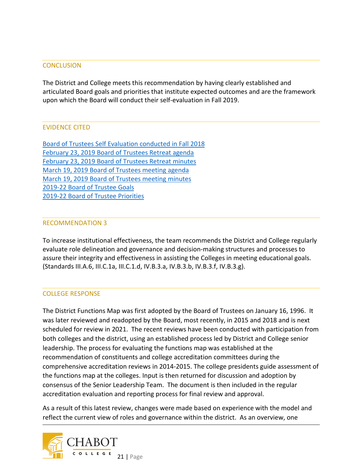#### **CONCLUSION**

The District and College meets this recommendation by having clearly established and articulated Board goals and priorities that institute expected outcomes and are the framework upon which the Board will conduct their self-evaluation in Fall 2019.

#### EVIDENCE CITED

[Board of Trustees Self Evaluation conducted in Fall 2018](http://www.clpccd.org/board/documents/BoTSelfEvaluationPP111318.pdf) [February 23, 2019 Board of Trustees Retreat agenda](http://www.clpccd.org/board/documents/Agenda_022319RetreatOFFICIAL_000.pdf) [February 23, 2019 Board of Trustees Retreat minutes](http://www.clpccd.org/board/documents/2019_Feb23_MinutesOFFICIAL.pdf) [March 19, 2019 Board of Trustees meeting agenda](http://www.clpccd.org/board/2019_March19_boardpacket.php) [March 19, 2019 Board of Trustees meeting minutes](http://www.clpccd.org/board/documents/2019_March19_MinutesOFFICIAL.pdf) [2019-22 Board of Trustee Goals](http://www.clpccd.org/board/documents/8.3BoTGoalsRec031919.pdf) [2019-22 Board of Trustee Priorities](http://www.clpccd.org/board/documents/8.4BoTPrioritiesRec031919.pdf)

#### RECOMMENDATION 3

To increase institutional effectiveness, the team recommends the District and College regularly evaluate role delineation and governance and decision-making structures and processes to assure their integrity and effectiveness in assisting the Colleges in meeting educational goals. (Standards III.A.6, III.C.1a, III.C.1.d, IV.B.3.a, IV.B.3.b, IV.B.3.f, IV.B.3.g).

#### COLLEGE RESPONSE

The District Functions Map was first adopted by the Board of Trustees on January 16, 1996. It was later reviewed and readopted by the Board, most recently, in 2015 and 2018 and is next scheduled for review in 2021. The recent reviews have been conducted with participation from both colleges and the district, using an established process led by District and College senior leadership. The process for evaluating the functions map was established at the recommendation of constituents and college accreditation committees during the comprehensive accreditation reviews in 2014-2015. The college presidents guide assessment of the functions map at the colleges. Input is then returned for discussion and adoption by consensus of the Senior Leadership Team. The document is then included in the regular accreditation evaluation and reporting process for final review and approval.

As a result of this latest review, changes were made based on experience with the model and reflect the current view of roles and governance within the district. As an overview, one

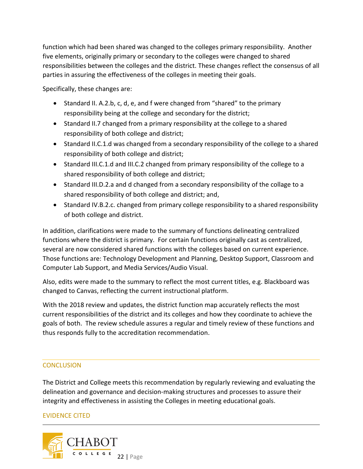function which had been shared was changed to the colleges primary responsibility. Another five elements, originally primary or secondary to the colleges were changed to shared responsibilities between the colleges and the district. These changes reflect the consensus of all parties in assuring the effectiveness of the colleges in meeting their goals.

Specifically, these changes are:

- Standard II. A.2.b, c, d, e, and f were changed from "shared" to the primary responsibility being at the college and secondary for the district;
- Standard II.7 changed from a primary responsibility at the college to a shared responsibility of both college and district;
- Standard II.C.1.d was changed from a secondary responsibility of the college to a shared responsibility of both college and district;
- Standard III.C.1.d and III.C.2 changed from primary responsibility of the college to a shared responsibility of both college and district;
- Standard III.D.2.a and d changed from a secondary responsibility of the collage to a shared responsibility of both college and district; and,
- Standard IV.B.2.c. changed from primary college responsibility to a shared responsibility of both college and district.

In addition, clarifications were made to the summary of functions delineating centralized functions where the district is primary. For certain functions originally cast as centralized, several are now considered shared functions with the colleges based on current experience. Those functions are: Technology Development and Planning, Desktop Support, Classroom and Computer Lab Support, and Media Services/Audio Visual.

Also, edits were made to the summary to reflect the most current titles, e.g. Blackboard was changed to Canvas, reflecting the current instructional platform.

With the 2018 review and updates, the district function map accurately reflects the most current responsibilities of the district and its colleges and how they coordinate to achieve the goals of both. The review schedule assures a regular and timely review of these functions and thus responds fully to the accreditation recommendation.

#### **CONCLUSION**

The District and College meets this recommendation by regularly reviewing and evaluating the delineation and governance and decision-making structures and processes to assure their integrity and effectiveness in assisting the Colleges in meeting educational goals.

#### EVIDENCE CITED

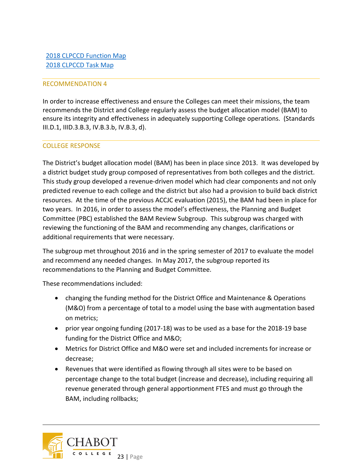#### RECOMMENDATION 4

In order to increase effectiveness and ensure the Colleges can meet their missions, the team recommends the District and College regularly assess the budget allocation model (BAM) to ensure its integrity and effectiveness in adequately supporting College operations. (Standards III.D.1, IIID.3.B.3, IV.B.3.b, IV.B.3, d).

#### COLLEGE RESPONSE

The District's budget allocation model (BAM) has been in place since 2013. It was developed by a district budget study group composed of representatives from both colleges and the district. This study group developed a revenue-driven model which had clear components and not only predicted revenue to each college and the district but also had a provision to build back district resources. At the time of the previous ACCJC evaluation (2015), the BAM had been in place for two years. In 2016, in order to assess the model's effectiveness, the Planning and Budget Committee (PBC) established the BAM Review Subgroup. This subgroup was charged with reviewing the functioning of the BAM and recommending any changes, clarifications or additional requirements that were necessary.

The subgroup met throughout 2016 and in the spring semester of 2017 to evaluate the model and recommend any needed changes. In May 2017, the subgroup reported its recommendations to the Planning and Budget Committee.

These recommendations included:

- changing the funding method for the District Office and Maintenance & Operations (M&O) from a percentage of total to a model using the base with augmentation based on metrics;
- prior year ongoing funding (2017-18) was to be used as a base for the 2018-19 base funding for the District Office and M&O;
- Metrics for District Office and M&O were set and included increments for increase or decrease;
- Revenues that were identified as flowing through all sites were to be based on percentage change to the total budget (increase and decrease), including requiring all revenue generated through general apportionment FTES and must go through the BAM, including rollbacks;

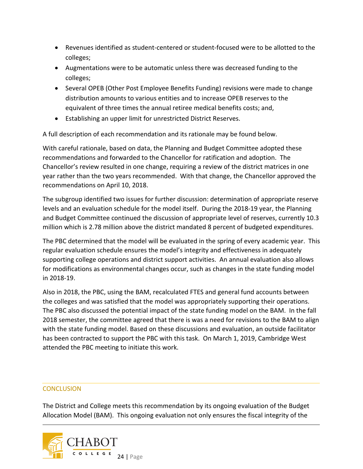- Revenues identified as student-centered or student-focused were to be allotted to the colleges;
- Augmentations were to be automatic unless there was decreased funding to the colleges;
- Several OPEB (Other Post Employee Benefits Funding) revisions were made to change distribution amounts to various entities and to increase OPEB reserves to the equivalent of three times the annual retiree medical benefits costs; and,
- Establishing an upper limit for unrestricted District Reserves.

A full description of each recommendation and its rationale may be found below.

With careful rationale, based on data, the Planning and Budget Committee adopted these recommendations and forwarded to the Chancellor for ratification and adoption. The Chancellor's review resulted in one change, requiring a review of the district matrices in one year rather than the two years recommended. With that change, the Chancellor approved the recommendations on April 10, 2018.

The subgroup identified two issues for further discussion: determination of appropriate reserve levels and an evaluation schedule for the model itself. During the 2018-19 year, the Planning and Budget Committee continued the discussion of appropriate level of reserves, currently 10.3 million which is 2.78 million above the district mandated 8 percent of budgeted expenditures.

The PBC determined that the model will be evaluated in the spring of every academic year. This regular evaluation schedule ensures the model's integrity and effectiveness in adequately supporting college operations and district support activities. An annual evaluation also allows for modifications as environmental changes occur, such as changes in the state funding model in 2018-19.

Also in 2018, the PBC, using the BAM, recalculated FTES and general fund accounts between the colleges and was satisfied that the model was appropriately supporting their operations. The PBC also discussed the potential impact of the state funding model on the BAM. In the fall 2018 semester, the committee agreed that there is was a need for revisions to the BAM to align with the state funding model. Based on these discussions and evaluation, an outside facilitator has been contracted to support the PBC with this task. On March 1, 2019, Cambridge West attended the PBC meeting to initiate this work.

#### **CONCLUSION**

The District and College meets this recommendation by its ongoing evaluation of the Budget Allocation Model (BAM). This ongoing evaluation not only ensures the fiscal integrity of the

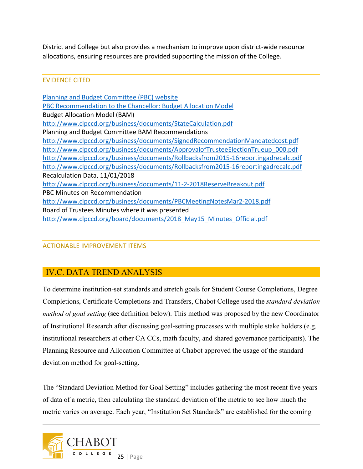District and College but also provides a mechanism to improve upon district-wide resource allocations, ensuring resources are provided supporting the mission of the College.

## EVIDENCE CITED

[Planning and Budget Committee \(PBC\) website](http://www.clpccd.org/business/PlanningandBudgetCommittee.php) [PBC Recommendation to the Chancellor: Budget Allocation Model](http://www.clpccd.org/business/documents/BAMRecommSigned_.pdf) Budget Allocation Model (BAM) <http://www.clpccd.org/business/documents/StateCalculation.pdf> Planning and Budget Committee BAM Recommendations <http://www.clpccd.org/business/documents/SignedRecommendationMandatedcost.pdf> [http://www.clpccd.org/business/documents/ApprovalofTrusteeElectionTrueup\\_000.pdf](http://www.clpccd.org/business/documents/ApprovalofTrusteeElectionTrueup_000.pdf) <http://www.clpccd.org/business/documents/Rollbacksfrom2015-16reportingadrecalc.pdf> <http://www.clpccd.org/business/documents/Rollbacksfrom2015-16reportingadrecalc.pdf> Recalculation Data, 11/01/2018 <http://www.clpccd.org/business/documents/11-2-2018ReserveBreakout.pdf> PBC Minutes on Recommendation <http://www.clpccd.org/business/documents/PBCMeetingNotesMar2-2018.pdf> Board of Trustees Minutes where it was presented [http://www.clpccd.org/board/documents/2018\\_May15\\_Minutes\\_Official.pdf](http://www.clpccd.org/board/documents/2018_May15_Minutes_Official.pdf)

## ACTIONABLE IMPROVEMENT ITEMS

## IV.C. DATA TREND ANALYSIS

To determine institution-set standards and stretch goals for Student Course Completions, Degree Completions, Certificate Completions and Transfers, Chabot College used the *standard deviation method of goal setting* (see definition below). This method was proposed by the new Coordinator of Institutional Research after discussing goal-setting processes with multiple stake holders (e.g. institutional researchers at other CA CCs, math faculty, and shared governance participants). The Planning Resource and Allocation Committee at Chabot approved the usage of the standard deviation method for goal-setting.

The "Standard Deviation Method for Goal Setting" includes gathering the most recent five years of data of a metric, then calculating the standard deviation of the metric to see how much the metric varies on average. Each year, "Institution Set Standards" are established for the coming

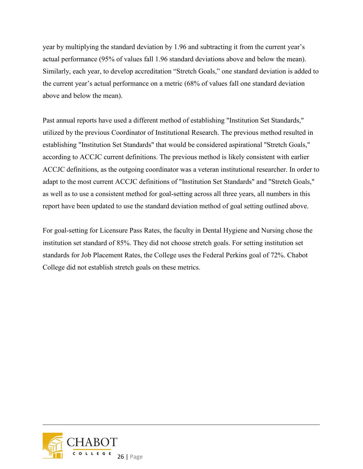year by multiplying the standard deviation by 1.96 and subtracting it from the current year's actual performance (95% of values fall 1.96 standard deviations above and below the mean). Similarly, each year, to develop accreditation "Stretch Goals," one standard deviation is added to the current year's actual performance on a metric (68% of values fall one standard deviation above and below the mean).

Past annual reports have used a different method of establishing "Institution Set Standards," utilized by the previous Coordinator of Institutional Research. The previous method resulted in establishing "Institution Set Standards" that would be considered aspirational "Stretch Goals," according to ACCJC current definitions. The previous method is likely consistent with earlier ACCJC definitions, as the outgoing coordinator was a veteran institutional researcher. In order to adapt to the most current ACCJC definitions of "Institution Set Standards" and "Stretch Goals," as well as to use a consistent method for goal-setting across all three years, all numbers in this report have been updated to use the standard deviation method of goal setting outlined above.

For goal-setting for Licensure Pass Rates, the faculty in Dental Hygiene and Nursing chose the institution set standard of 85%. They did not choose stretch goals. For setting institution set standards for Job Placement Rates, the College uses the Federal Perkins goal of 72%. Chabot College did not establish stretch goals on these metrics.

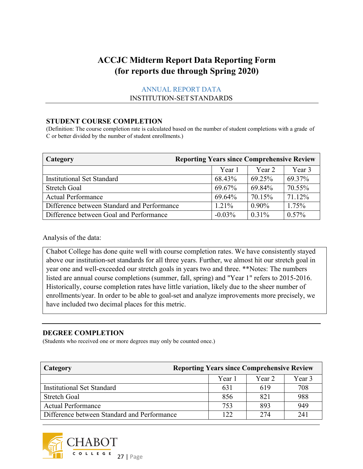# **ACCJC Midterm Report Data Reporting Form (for reports due through Spring 2020)**

## ANNUAL REPORT DATA INSTITUTION-SETSTANDARDS

#### **STUDENT COURSE COMPLETION**

(Definition: The course completion rate is calculated based on the number of student completions with a grade of C or better divided by the number of student enrollments.)

| <b>Category</b>                             | <b>Reporting Years since Comprehensive Review</b> |          |          |  |  |  |  |  |  |
|---------------------------------------------|---------------------------------------------------|----------|----------|--|--|--|--|--|--|
|                                             | Year 1                                            | Year 2   | Year 3   |  |  |  |  |  |  |
| <b>Institutional Set Standard</b>           | 68.43%                                            | 69.25%   | 69.37%   |  |  |  |  |  |  |
| <b>Stretch Goal</b>                         | 69.67%                                            | 69.84%   | 70.55%   |  |  |  |  |  |  |
| <b>Actual Performance</b>                   | 69.64%                                            | 70.15%   | 71.12%   |  |  |  |  |  |  |
| Difference between Standard and Performance | 1.21%                                             | $0.90\%$ | 1.75%    |  |  |  |  |  |  |
| Difference between Goal and Performance     | $-0.03\%$                                         | $0.31\%$ | $0.57\%$ |  |  |  |  |  |  |

Analysis of the data:

Chabot College has done quite well with course completion rates. We have consistently stayed above our institution-set standards for all three years. Further, we almost hit our stretch goal in year one and well-exceeded our stretch goals in years two and three. \*\*Notes: The numbers listed are annual course completions (summer, fall, spring) and "Year 1" refers to 2015-2016. Historically, course completion rates have little variation, likely due to the sheer number of enrollments/year. In order to be able to goal-set and analyze improvements more precisely, we have included two decimal places for this metric.

#### **DEGREE COMPLETION**

(Students who received one or more degrees may only be counted once.)

| Category                                    | <b>Reporting Years since Comprehensive Review</b> |        |        |  |  |  |  |  |
|---------------------------------------------|---------------------------------------------------|--------|--------|--|--|--|--|--|
|                                             | Year 1                                            | Year 2 | Year 3 |  |  |  |  |  |
| <b>Institutional Set Standard</b>           | 631                                               | 619    | 708    |  |  |  |  |  |
| Stretch Goal                                | 856                                               | 821    | 988    |  |  |  |  |  |
| <b>Actual Performance</b>                   | 753                                               | 893    | 949    |  |  |  |  |  |
| Difference between Standard and Performance | 122                                               | 274    | 241    |  |  |  |  |  |

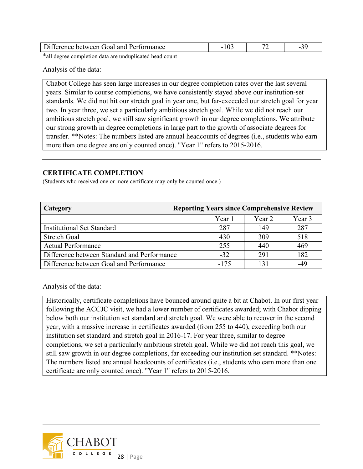| Difference between Goal and Performance |  |  |
|-----------------------------------------|--|--|
|                                         |  |  |

\*all degree completion data are unduplicated head count

Analysis of the data:

Chabot College has seen large increases in our degree completion rates over the last several years. Similar to course completions, we have consistently stayed above our institution-set standards. We did not hit our stretch goal in year one, but far-exceeded our stretch goal for year two. In year three, we set a particularly ambitious stretch goal. While we did not reach our ambitious stretch goal, we still saw significant growth in our degree completions. We attribute our strong growth in degree completions in large part to the growth of associate degrees for transfer. \*\*Notes: The numbers listed are annual headcounts of degrees (i.e., students who earn more than one degree are only counted once). "Year 1" refers to 2015-2016.

#### **CERTIFICATE COMPLETION**

(Students who received one or more certificate may only be counted once.)

| Category                                    | <b>Reporting Years since Comprehensive Review</b> |        |        |  |  |  |  |  |  |  |
|---------------------------------------------|---------------------------------------------------|--------|--------|--|--|--|--|--|--|--|
|                                             | Year 1                                            | Year 2 | Year 3 |  |  |  |  |  |  |  |
| <b>Institutional Set Standard</b>           | 287                                               | 149    | 287    |  |  |  |  |  |  |  |
| <b>Stretch Goal</b>                         | 430                                               | 309    | 518    |  |  |  |  |  |  |  |
| <b>Actual Performance</b>                   | 255                                               | 440    | 469    |  |  |  |  |  |  |  |
| Difference between Standard and Performance | $-32$                                             | 291    | 182    |  |  |  |  |  |  |  |
| Difference between Goal and Performance     | -175                                              |        | -49    |  |  |  |  |  |  |  |

Analysis of the data:

Historically, certificate completions have bounced around quite a bit at Chabot. In our first year following the ACCJC visit, we had a lower number of certificates awarded; with Chabot dipping below both our institution set standard and stretch goal. We were able to recover in the second year, with a massive increase in certificates awarded (from 255 to 440), exceeding both our institution set standard and stretch goal in 2016-17. For year three, similar to degree completions, we set a particularly ambitious stretch goal. While we did not reach this goal, we still saw growth in our degree completions, far exceeding our institution set standard. \*\*Notes: The numbers listed are annual headcounts of certificates (i.e., students who earn more than one certificate are only counted once). "Year 1" refers to 2015-2016.

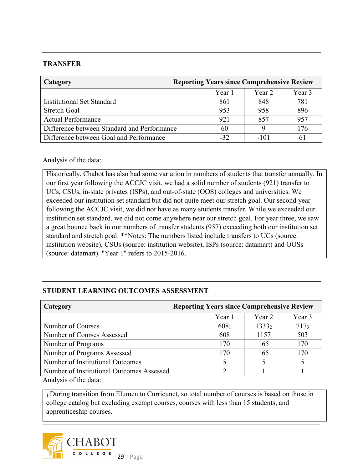## **TRANSFER**

| Category                                    | <b>Reporting Years since Comprehensive Review</b> |        |        |  |  |  |  |  |  |
|---------------------------------------------|---------------------------------------------------|--------|--------|--|--|--|--|--|--|
|                                             | Year 1                                            | Year 2 | Year 3 |  |  |  |  |  |  |
| <b>Institutional Set Standard</b>           | 861                                               | 848    | 781    |  |  |  |  |  |  |
| <b>Stretch Goal</b>                         | 953                                               | 958    | 896    |  |  |  |  |  |  |
| <b>Actual Performance</b>                   | 921                                               | 857    | 957    |  |  |  |  |  |  |
| Difference between Standard and Performance | 60                                                |        | 176    |  |  |  |  |  |  |
| Difference between Goal and Performance     | $-32.$                                            | $-101$ | 61     |  |  |  |  |  |  |

#### Analysis of the data:

Historically, Chabot has also had some variation in numbers of students that transfer annually. In our first year following the ACCJC visit, we had a solid number of students (921) transfer to UCs, CSUs, in-state privates (ISPs), and out-of-state (OOS) colleges and universities. We exceeded our institution set standard but did not quite meet our stretch goal. Our second year following the ACCJC visit, we did not have as many students transfer. While we exceeded our institution set standard, we did not come anywhere near our stretch goal. For year three, we saw a great bounce back in our numbers of transfer students (957) exceeding both our institution set standard and stretch goal. \*\*Notes: The numbers listed include transfers to UCs (source: institution website), CSUs (source: institution website), ISPs (source: datamart) and OOSs (source: datamart). "Year 1" refers to 2015-2016.

## **STUDENT LEARNING OUTCOMES ASSESSMENT**

| Category                                    | <b>Reporting Years since Comprehensive Review</b> |                   |         |  |  |  |  |  |  |
|---------------------------------------------|---------------------------------------------------|-------------------|---------|--|--|--|--|--|--|
|                                             | Year 1                                            | Year 2            | Year 3  |  |  |  |  |  |  |
| Number of Courses                           | 608 <sub>1</sub>                                  | 1333 <sub>2</sub> | $717_3$ |  |  |  |  |  |  |
| Number of Courses Assessed                  | 608                                               | 1157              | 503     |  |  |  |  |  |  |
| Number of Programs                          | 170                                               | 165               | 170     |  |  |  |  |  |  |
| Number of Programs Assessed                 | 170                                               | 165               | 170     |  |  |  |  |  |  |
| Number of Institutional Outcomes            |                                                   |                   |         |  |  |  |  |  |  |
| Number of Institutional Outcomes Assessed   | ∍                                                 |                   |         |  |  |  |  |  |  |
| $\Lambda$ and real and $\Lambda$ the detail |                                                   |                   |         |  |  |  |  |  |  |

Analysis of the data:

1 During transition from Elumen to Curricunet, so total number of courses is based on those in college catalog but excluding exempt courses, courses with less than 15 students, and apprenticeship courses.

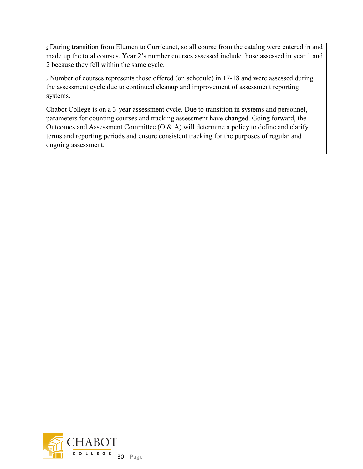2 During transition from Elumen to Curricunet, so all course from the catalog were entered in and made up the total courses. Year 2's number courses assessed include those assessed in year 1 and 2 because they fell within the same cycle.

3 Number of courses represents those offered (on schedule) in 17-18 and were assessed during the assessment cycle due to continued cleanup and improvement of assessment reporting systems.

Chabot College is on a 3-year assessment cycle. Due to transition in systems and personnel, parameters for counting courses and tracking assessment have changed. Going forward, the Outcomes and Assessment Committee  $(0 & A)$  will determine a policy to define and clarify terms and reporting periods and ensure consistent tracking for the purposes of regular and ongoing assessment.

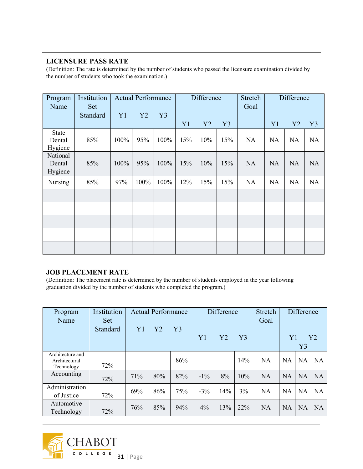#### **LICENSURE PASS RATE**

(Definition: The rate is determined by the number of students who passed the licensure examination divided by the number of students who took the examination.)

| Program<br>Name                   | Institution<br>Set |      | <b>Actual Performance</b> |      | Difference |     | Stretch<br>Goal | Difference |           |           |                |
|-----------------------------------|--------------------|------|---------------------------|------|------------|-----|-----------------|------------|-----------|-----------|----------------|
|                                   | Standard           | Y1   | Y2                        | Y3   | Y1         | Y2  | Y3              |            | Y1        | Y2        | Y <sub>3</sub> |
| <b>State</b><br>Dental<br>Hygiene | 85%                | 100% | 95%                       | 100% | 15%        | 10% | 15%             | <b>NA</b>  | <b>NA</b> | <b>NA</b> | <b>NA</b>      |
| National<br>Dental<br>Hygiene     | 85%                | 100% | 95%                       | 100% | 15%        | 10% | 15%             | <b>NA</b>  | <b>NA</b> | <b>NA</b> | <b>NA</b>      |
| Nursing                           | 85%                | 97%  | 100%                      | 100% | 12%        | 15% | 15%             | <b>NA</b>  | <b>NA</b> | <b>NA</b> | <b>NA</b>      |
|                                   |                    |      |                           |      |            |     |                 |            |           |           |                |
|                                   |                    |      |                           |      |            |     |                 |            |           |           |                |
|                                   |                    |      |                           |      |            |     |                 |            |           |           |                |
|                                   |                    |      |                           |      |            |     |                 |            |           |           |                |
|                                   |                    |      |                           |      |            |     |                 |            |           |           |                |

#### **JOB PLACEMENT RATE**

(Definition: The placement rate is determined by the number of students employed in the year following graduation divided by the number of students who completed the program.)

| Program<br>Name                                 | Institution<br><b>Set</b> | <b>Actual Performance</b> |     |     | Difference |     | <b>Stretch</b><br>Goal | <b>Difference</b> |           |           |                |
|-------------------------------------------------|---------------------------|---------------------------|-----|-----|------------|-----|------------------------|-------------------|-----------|-----------|----------------|
|                                                 | Standard                  | Y <sub>1</sub>            | Y2  | Y3  | Y1         | Y2  | Y <sub>3</sub>         |                   | Y1        | Y3        | Y <sub>2</sub> |
| Architecture and<br>Architectural<br>Technology | 72%                       |                           |     | 86% |            |     | 14%                    | <b>NA</b>         | <b>NA</b> | <b>NA</b> | <b>NA</b>      |
| Accounting                                      | 72%                       | 71%                       | 80% | 82% | $-1\%$     | 8%  | 10%                    | <b>NA</b>         | <b>NA</b> | <b>NA</b> | <b>NA</b>      |
| Administration<br>of Justice                    | 72%                       | 69%                       | 86% | 75% | $-3\%$     | 14% | 3%                     | <b>NA</b>         | <b>NA</b> | <b>NA</b> | <b>NA</b>      |
| Automotive<br>Technology                        | 72%                       | 76%                       | 85% | 94% | $4\%$      | 13% | 22%                    | <b>NA</b>         | <b>NA</b> | <b>NA</b> | <b>NA</b>      |

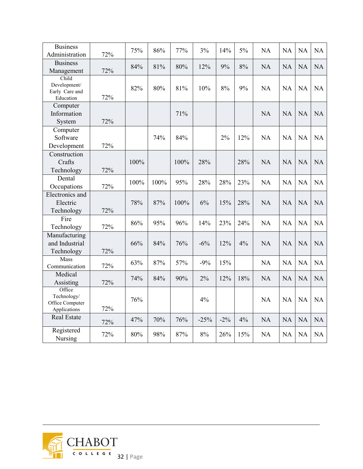| <b>Business</b><br>Administration                        | 72% | 75%  | 86%  | 77%  | 3%     | 14%    | 5%  | <b>NA</b> | <b>NA</b> | <b>NA</b> | NA        |
|----------------------------------------------------------|-----|------|------|------|--------|--------|-----|-----------|-----------|-----------|-----------|
| <b>Business</b><br>Management                            | 72% | 84%  | 81%  | 80%  | 12%    | 9%     | 8%  | NA        | <b>NA</b> | <b>NA</b> | NA        |
| Child<br>Development/<br>Early Care and<br>Education     | 72% | 82%  | 80%  | 81%  | 10%    | 8%     | 9%  | <b>NA</b> | <b>NA</b> | <b>NA</b> | NA        |
| Computer<br>Information<br>System                        | 72% |      |      | 71%  |        |        |     | <b>NA</b> | <b>NA</b> | <b>NA</b> | NA        |
| Computer<br>Software<br>Development                      | 72% |      | 74%  | 84%  |        | 2%     | 12% | <b>NA</b> | <b>NA</b> | <b>NA</b> | NA        |
| Construction<br>Crafts<br>Technology                     | 72% | 100% |      | 100% | 28%    |        | 28% | <b>NA</b> | <b>NA</b> | <b>NA</b> | NA        |
| Dental<br>Occupations                                    | 72% | 100% | 100% | 95%  | 28%    | 28%    | 23% | <b>NA</b> | <b>NA</b> | NA        | NA        |
| Electronics and<br>Electric<br>Technology                | 72% | 78%  | 87%  | 100% | 6%     | 15%    | 28% | <b>NA</b> | <b>NA</b> | <b>NA</b> | <b>NA</b> |
| Fire<br>Technology                                       | 72% | 86%  | 95%  | 96%  | 14%    | 23%    | 24% | <b>NA</b> | <b>NA</b> | <b>NA</b> | NA        |
| Manufacturing<br>and Industrial<br>Technology            | 72% | 66%  | 84%  | 76%  | $-6%$  | 12%    | 4%  | <b>NA</b> | <b>NA</b> | <b>NA</b> | <b>NA</b> |
| Mass<br>Communication                                    | 72% | 63%  | 87%  | 57%  | $-9%$  | 15%    |     | NA        | NA        | NA        | NA        |
| Medical<br>Assisting                                     | 72% | 74%  | 84%  | 90%  | 2%     | 12%    | 18% | <b>NA</b> | <b>NA</b> | NA        | <b>NA</b> |
| Office<br>Technology/<br>Office Computer<br>Applications | 72% | 76%  |      |      | 4%     |        |     | <b>NA</b> | <b>NA</b> | <b>NA</b> | <b>NA</b> |
| <b>Real Estate</b>                                       | 72% | 47%  | 70%  | 76%  | $-25%$ | $-2\%$ | 4%  | <b>NA</b> | <b>NA</b> | <b>NA</b> | <b>NA</b> |
| Registered<br>Nursing                                    | 72% | 80%  | 98%  | 87%  | $8\%$  | 26%    | 15% | <b>NA</b> | <b>NA</b> | <b>NA</b> | <b>NA</b> |

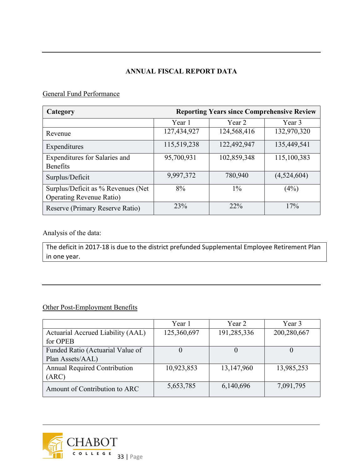## **ANNUAL FISCAL REPORT DATA**

## General Fund Performance

| Category                            | <b>Reporting Years since Comprehensive Review</b> |             |             |  |  |  |
|-------------------------------------|---------------------------------------------------|-------------|-------------|--|--|--|
|                                     | Year 1                                            | Year 2      | Year 3      |  |  |  |
| Revenue                             | 127,434,927                                       | 124,568,416 | 132,970,320 |  |  |  |
| Expenditures                        | 115,519,238                                       | 122,492,947 | 135,449,541 |  |  |  |
| Expenditures for Salaries and       | 95,700,931                                        | 102,859,348 | 115,100,383 |  |  |  |
| <b>Benefits</b>                     |                                                   |             |             |  |  |  |
| Surplus/Deficit                     | 9,997,372                                         | 780,940     | (4,524,604) |  |  |  |
| Surplus/Deficit as % Revenues (Net) | 8%                                                | $1\%$       | (4%)        |  |  |  |
| <b>Operating Revenue Ratio)</b>     |                                                   |             |             |  |  |  |
| Reserve (Primary Reserve Ratio)     | 23%                                               | 22%         | 17%         |  |  |  |

Analysis of the data:

The deficit in 2017-18 is due to the district prefunded Supplemental Employee Retirement Plan in one year.

## Other Post-Employment Benefits

|                                     | Year 1      | Year 2      | Year 3      |  |
|-------------------------------------|-------------|-------------|-------------|--|
| Actuarial Accrued Liability (AAL)   | 125,360,697 | 191,285,336 | 200,280,667 |  |
| for OPEB                            |             |             |             |  |
| Funded Ratio (Actuarial Value of    |             |             |             |  |
| Plan Assets/AAL)                    |             |             |             |  |
| <b>Annual Required Contribution</b> | 10,923,853  | 13,147,960  | 13,985,253  |  |
| (ARC)                               |             |             |             |  |
| Amount of Contribution to ARC       | 5,653,785   | 6,140,696   | 7,091,795   |  |